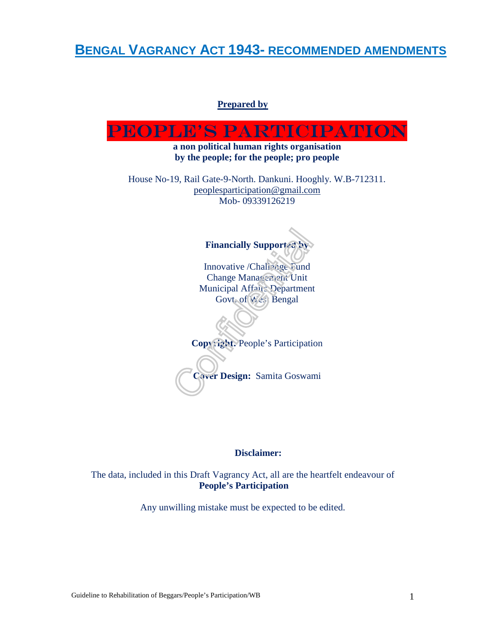**BENGAL VAGRANCY ACT 1943- RECOMMENDED AMENDMENTS**

#### **Prepared by**



#### **Disclaimer:**

The data, included in this Draft Vagrancy Act, all are the heartfelt endeavour of  **People's Participation** 

Any unwilling mistake must be expected to be edited.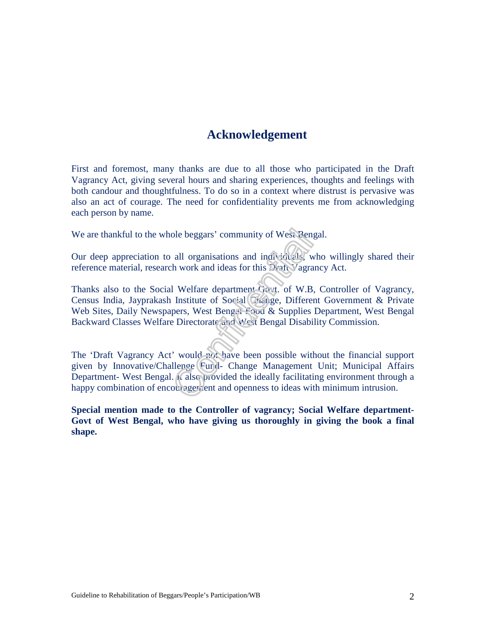# **Acknowledgement**

First and foremost, many thanks are due to all those who participated in the Draft Vagrancy Act, giving several hours and sharing experiences, thoughts and feelings with both candour and thoughtfulness. To do so in a context where distrust is pervasive was also an act of courage. The need for confidentiality prevents me from acknowledging each person by name.

We are thankful to the whole beggars' community of West Bengal.

Our deep appreciation to all organisations and individuals, who willingly shared their reference material, research work and ideas for this Draft Vagrancy Act.

Thanks also to the Social Welfare department-Govt. of W.B, Controller of Vagrancy, Census India, Jayprakash Institute of Social Change, Different Government & Private Web Sites, Daily Newspapers, West Bengal Food & Supplies Department, West Bengal Backward Classes Welfare Directorate and West Bengal Disability Commission.

The 'Draft Vagrancy Act' would not have been possible without the financial support given by Innovative/Challenge Fund- Change Management Unit; Municipal Affairs Department- West Bengal. It also provided the ideally facilitating environment through a happy combination of encouragement and openness to ideas with minimum intrusion.

**Special mention made to the Controller of vagrancy; Social Welfare department-Govt of West Bengal, who have giving us thoroughly in giving the book a final shape.**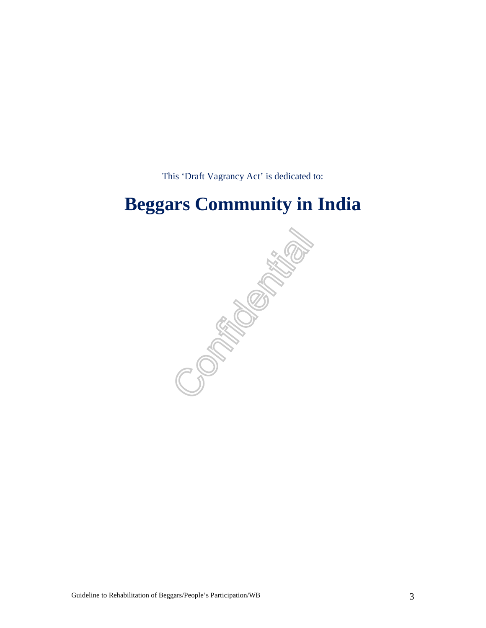This 'Draft Vagrancy Act' is dedicated to:

# **Beggars Community in India**

CPORTURITY OF THE CORPORATION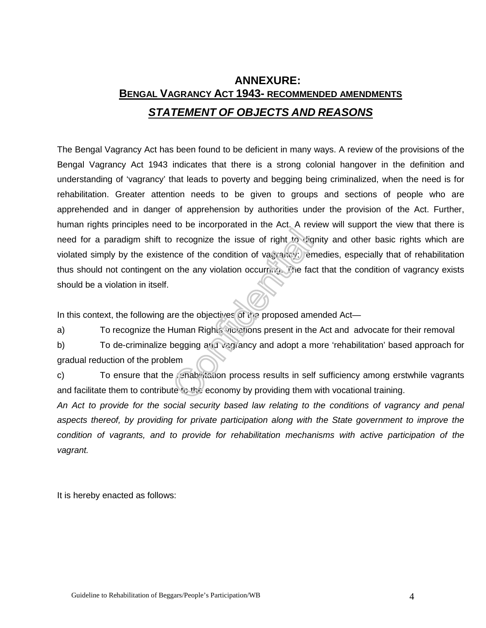# **ANNEXURE: BENGAL VAGRANCY ACT 1943- RECOMMENDED AMENDMENTS STATEMENT OF OBJECTS AND REASONS**

The Bengal Vagrancy Act has been found to be deficient in many ways. A review of the provisions of the Bengal Vagrancy Act 1943 indicates that there is a strong colonial hangover in the definition and understanding of 'vagrancy' that leads to poverty and begging being criminalized, when the need is for rehabilitation. Greater attention needs to be given to groups and sections of people who are apprehended and in danger of apprehension by authorities under the provision of the Act. Further, human rights principles need to be incorporated in the Act. A review will support the view that there is need for a paradigm shift to recognize the issue of right to dignity and other basic rights which are violated simply by the existence of the condition of vagrancy: remedies, especially that of rehabilitation thus should not contingent on the any violation occurring. The fact that the condition of vagrancy exists should be a violation in itself.

In this context, the following are the objectives of the proposed amended Act—

a) To recognize the Human Rights violations present in the Act and advocate for their removal

b) To de-criminalize begging and vagrancy and adopt a more 'rehabilitation' based approach for gradual reduction of the problem

c) To ensure that the rehabilitation process results in self sufficiency among erstwhile vagrants and facilitate them to contribute to the economy by providing them with vocational training.

An Act to provide for the social security based law relating to the conditions of vagrancy and penal aspects thereof, by providing for private participation along with the State government to improve the condition of vagrants, and to provide for rehabilitation mechanisms with active participation of the vagrant.

It is hereby enacted as follows: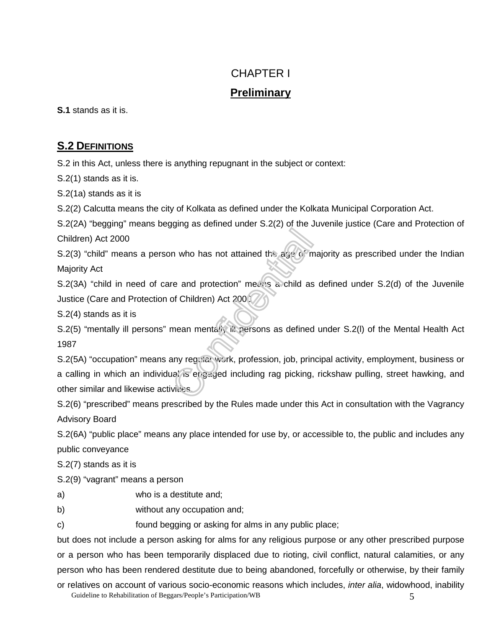# CHAPTER I

# **Preliminary**

**S.1** stands as it is.

# **S.2 DEFINITIONS**

S.2 in this Act, unless there is anything repugnant in the subject or context:

S.2(1) stands as it is.

S.2(1a) stands as it is

S.2(2) Calcutta means the city of Kolkata as defined under the Kolkata Municipal Corporation Act.

S.2(2A) "begging" means begging as defined under S.2(2) of the Juvenile justice (Care and Protection of Children) Act 2000

S.2(3) "child" means a person who has not attained the age of majority as prescribed under the Indian Majority Act

S.2(3A) "child in need of care and protection" means a child as defined under S.2(d) of the Juvenile Justice (Care and Protection of Children) Act 2000

S.2(4) stands as it is

S.2(5) "mentally ill persons" mean mentally ill persons as defined under S.2(I) of the Mental Health Act 1987

S.2(5A) "occupation" means any regular work, profession, job, principal activity, employment, business or a calling in which an individual is engaged including rag picking, rickshaw pulling, street hawking, and other similar and likewise activities.

S.2(6) "prescribed" means prescribed by the Rules made under this Act in consultation with the Vagrancy Advisory Board

S.2(6A) "public place" means any place intended for use by, or accessible to, the public and includes any public conveyance

S.2(7) stands as it is

S.2(9) "vagrant" means a person

a) who is a destitute and;

b) without any occupation and;

c) found begging or asking for alms in any public place;

but does not include a person asking for alms for any religious purpose or any other prescribed purpose or a person who has been temporarily displaced due to rioting, civil conflict, natural calamities, or any person who has been rendered destitute due to being abandoned, forcefully or otherwise, by their family or relatives on account of various socio-economic reasons which includes, *inter alia*, widowhood, inability

Guideline to Rehabilitation of Beggars/People's Participation/WB 5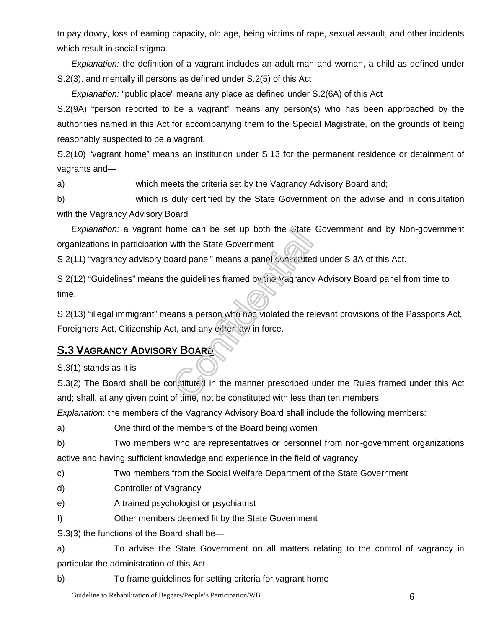to pay dowry, loss of earning capacity, old age, being victims of rape, sexual assault, and other incidents which result in social stigma.

Explanation: the definition of a vagrant includes an adult man and woman, a child as defined under S.2(3), and mentally ill persons as defined under S.2(5) of this Act

Explanation: "public place" means any place as defined under S.2(6A) of this Act

S.2(9A) "person reported to be a vagrant" means any person(s) who has been approached by the authorities named in this Act for accompanying them to the Special Magistrate, on the grounds of being reasonably suspected to be a vagrant.

S.2(10) "vagrant home" means an institution under S.13 for the permanent residence or detainment of vagrants and—

a) which meets the criteria set by the Vagrancy Advisory Board and;

b) which is duly certified by the State Government on the advise and in consultation with the Vagrancy Advisory Board

Explanation: a vagrant home can be set up both the State Government and by Non-government organizations in participation with the State Government

S 2(11) "vagrancy advisory board panel" means a panel constituted under S 3A of this Act.

S 2(12) "Guidelines" means the guidelines framed by the Vagrancy Advisory Board panel from time to time.

S 2(13) "illegal immigrant" means a person who has violated the relevant provisions of the Passports Act, Foreigners Act, Citizenship Act, and any other law in force.

# **S.3 VAGRANCY ADVISORY BOARD**

S.3(1) stands as it is

S.3(2) The Board shall be cor stituted in the manner prescribed under the Rules framed under this Act and; shall, at any given point of time, not be constituted with less than ten members

Explanation: the members of the Vagrancy Advisory Board shall include the following members:

a) One third of the members of the Board being women

b) Two members who are representatives or personnel from non-government organizations active and having sufficient knowledge and experience in the field of vagrancy.

c) Two members from the Social Welfare Department of the State Government

- d) Controller of Vagrancy
- e) A trained psychologist or psychiatrist
- f) Other members deemed fit by the State Government

S.3(3) the functions of the Board shall be—

a) To advise the State Government on all matters relating to the control of vagrancy in particular the administration of this Act

b) To frame guidelines for setting criteria for vagrant home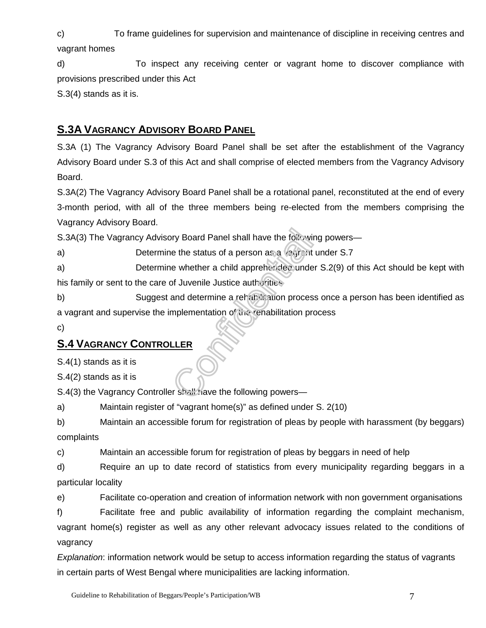c) To frame guidelines for supervision and maintenance of discipline in receiving centres and vagrant homes

d) To inspect any receiving center or vagrant home to discover compliance with provisions prescribed under this Act

S.3(4) stands as it is.

# **S.3A VAGRANCY ADVISORY BOARD PANEL**

S.3A (1) The Vagrancy Advisory Board Panel shall be set after the establishment of the Vagrancy Advisory Board under S.3 of this Act and shall comprise of elected members from the Vagrancy Advisory Board.

S.3A(2) The Vagrancy Advisory Board Panel shall be a rotational panel, reconstituted at the end of every 3-month period, with all of the three members being re-elected from the members comprising the Vagrancy Advisory Board.

S.3A(3) The Vagrancy Advisory Board Panel shall have the following powers—

a) Determine the status of a person as a vegrent under S.7

a) Determine whether a child apprehended under S.2(9) of this Act should be kept with his family or sent to the care of Juvenile Justice authorities

b) Suggest and determine a rehabilitation process once a person has been identified as a vagrant and supervise the implementation of the rehabilitation process

c)

# **S.4 VAGRANCY CONTROLLER**

S.4(1) stands as it is

S.4(2) stands as it is

S.4(3) the Vagrancy Controller shall have the following powers—

a) Maintain register of "vagrant home(s)" as defined under S. 2(10)

b) Maintain an accessible forum for registration of pleas by people with harassment (by beggars) complaints

c) Maintain an accessible forum for registration of pleas by beggars in need of help

d) Require an up to date record of statistics from every municipality regarding beggars in a particular locality

e) Facilitate co-operation and creation of information network with non government organisations

f) Facilitate free and public availability of information regarding the complaint mechanism, vagrant home(s) register as well as any other relevant advocacy issues related to the conditions of vagrancy

Explanation: information network would be setup to access information regarding the status of vagrants in certain parts of West Bengal where municipalities are lacking information.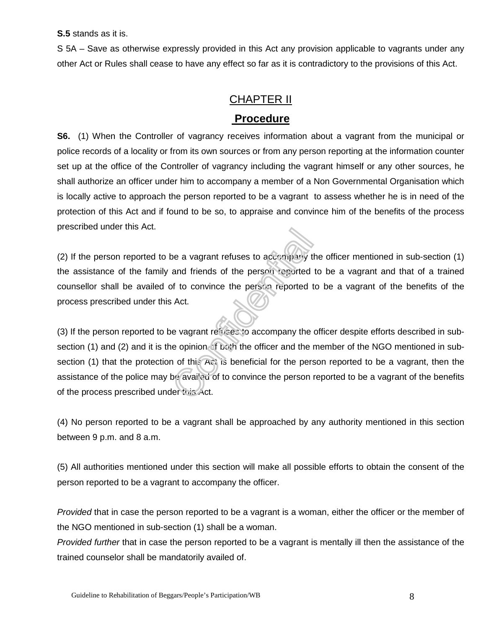**S.5** stands as it is.

S 5A – Save as otherwise expressly provided in this Act any provision applicable to vagrants under any other Act or Rules shall cease to have any effect so far as it is contradictory to the provisions of this Act.

# CHAPTER II

# **Procedure**

**S6.** (1) When the Controller of vagrancy receives information about a vagrant from the municipal or police records of a locality or from its own sources or from any person reporting at the information counter set up at the office of the Controller of vagrancy including the vagrant himself or any other sources, he shall authorize an officer under him to accompany a member of a Non Governmental Organisation which is locally active to approach the person reported to be a vagrant to assess whether he is in need of the protection of this Act and if found to be so, to appraise and convince him of the benefits of the process prescribed under this Act.

(2) If the person reported to be a vagrant refuses to accompany the officer mentioned in sub-section (1) the assistance of the family and friends of the person reported to be a vagrant and that of a trained counsellor shall be availed of to convince the person reported to be a vagrant of the benefits of the process prescribed under this Act.

(3) If the person reported to be vagrant refuses to accompany the officer despite efforts described in subsection (1) and (2) and it is the opinion of both the officer and the member of the NGO mentioned in subsection (1) that the protection of this Act is beneficial for the person reported to be a vagrant, then the assistance of the police may be availed of to convince the person reported to be a vagrant of the benefits of the process prescribed under this Act.

(4) No person reported to be a vagrant shall be approached by any authority mentioned in this section between 9 p.m. and 8 a.m.

(5) All authorities mentioned under this section will make all possible efforts to obtain the consent of the person reported to be a vagrant to accompany the officer.

Provided that in case the person reported to be a vagrant is a woman, either the officer or the member of the NGO mentioned in sub-section (1) shall be a woman.

Provided further that in case the person reported to be a vagrant is mentally ill then the assistance of the trained counselor shall be mandatorily availed of.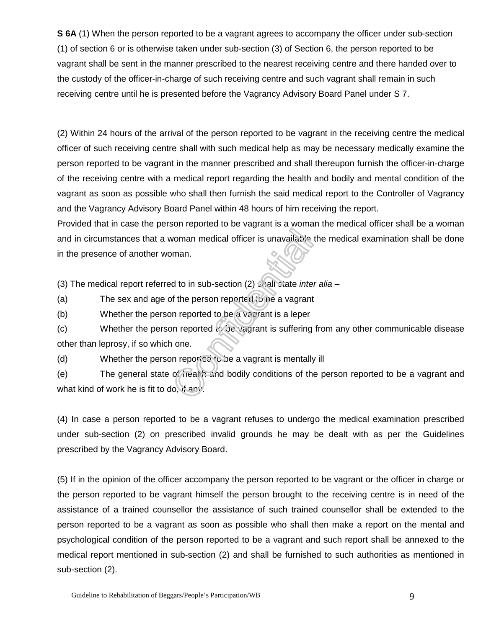**S 6A** (1) When the person reported to be a vagrant agrees to accompany the officer under sub-section (1) of section 6 or is otherwise taken under sub-section (3) of Section 6, the person reported to be vagrant shall be sent in the manner prescribed to the nearest receiving centre and there handed over to the custody of the officer-in-charge of such receiving centre and such vagrant shall remain in such receiving centre until he is presented before the Vagrancy Advisory Board Panel under S 7.

(2) Within 24 hours of the arrival of the person reported to be vagrant in the receiving centre the medical officer of such receiving centre shall with such medical help as may be necessary medically examine the person reported to be vagrant in the manner prescribed and shall thereupon furnish the officer-in-charge of the receiving centre with a medical report regarding the health and bodily and mental condition of the vagrant as soon as possible who shall then furnish the said medical report to the Controller of Vagrancy and the Vagrancy Advisory Board Panel within 48 hours of him receiving the report.

Provided that in case the person reported to be vagrant is a woman the medical officer shall be a woman and in circumstances that a woman medical officer is unavailable the medical examination shall be done in the presence of another woman.

(3) The medical report referred to in sub-section (2) shall state inter alia –

(a) The sex and age of the person reported to be a vagrant

(b) Whether the person reported to be a vagrant is a leper

(c) Whether the person reported to be vagrant is suffering from any other communicable disease other than leprosy, if so which one.

(d) Whether the person reported to be a vagrant is mentally ill

(e) The general state of health and bodily conditions of the person reported to be a vagrant and what kind of work he is fit to do, if any.

(4) In case a person reported to be a vagrant refuses to undergo the medical examination prescribed under sub-section (2) on prescribed invalid grounds he may be dealt with as per the Guidelines prescribed by the Vagrancy Advisory Board.

(5) If in the opinion of the officer accompany the person reported to be vagrant or the officer in charge or the person reported to be vagrant himself the person brought to the receiving centre is in need of the assistance of a trained counsellor the assistance of such trained counsellor shall be extended to the person reported to be a vagrant as soon as possible who shall then make a report on the mental and psychological condition of the person reported to be a vagrant and such report shall be annexed to the medical report mentioned in sub-section (2) and shall be furnished to such authorities as mentioned in sub-section (2).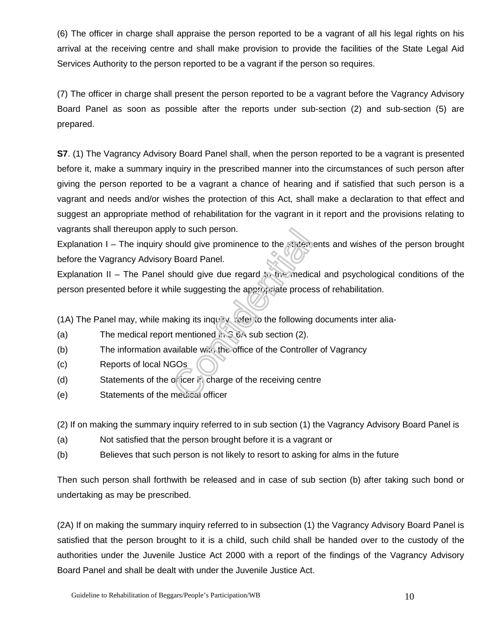(6) The officer in charge shall appraise the person reported to be a vagrant of all his legal rights on his arrival at the receiving centre and shall make provision to provide the facilities of the State Legal Aid Services Authority to the person reported to be a vagrant if the person so requires.

(7) The officer in charge shall present the person reported to be a vagrant before the Vagrancy Advisory Board Panel as soon as possible after the reports under sub-section (2) and sub-section (5) are prepared.

**S7.** (1) The Vagrancy Advisory Board Panel shall, when the person reported to be a vagrant is presented before it, make a summary inquiry in the prescribed manner into the circumstances of such person after giving the person reported to be a vagrant a chance of hearing and if satisfied that such person is a vagrant and needs and/or wishes the protection of this Act, shall make a declaration to that effect and suggest an appropriate method of rehabilitation for the vagrant in it report and the provisions relating to vagrants shall thereupon apply to such person.

Explanation I – The inquiry should give prominence to the statements and wishes of the person brought before the Vagrancy Advisory Board Panel.

Explanation II – The Panel should give due regard to the medical and psychological conditions of the person presented before it while suggesting the appropriate process of rehabilitation.

(1A) The Panel may, while making its inquiry, refer to the following documents inter alia-

- (a) The medical report mentioned in S  $6\lambda$  sub section (2).
- (b) The information available with the office of the Controller of Vagrancy
- (c) Reports of local NGOs
- (d) Statements of the officer in charge of the receiving centre
- (e) Statements of the medical officer

(2) If on making the summary inquiry referred to in sub section (1) the Vagrancy Advisory Board Panel is

- (a) Not satisfied that the person brought before it is a vagrant or
- (b) Believes that such person is not likely to resort to asking for alms in the future

Then such person shall forthwith be released and in case of sub section (b) after taking such bond or undertaking as may be prescribed.

(2A) If on making the summary inquiry referred to in subsection (1) the Vagrancy Advisory Board Panel is satisfied that the person brought to it is a child, such child shall be handed over to the custody of the authorities under the Juvenile Justice Act 2000 with a report of the findings of the Vagrancy Advisory Board Panel and shall be dealt with under the Juvenile Justice Act.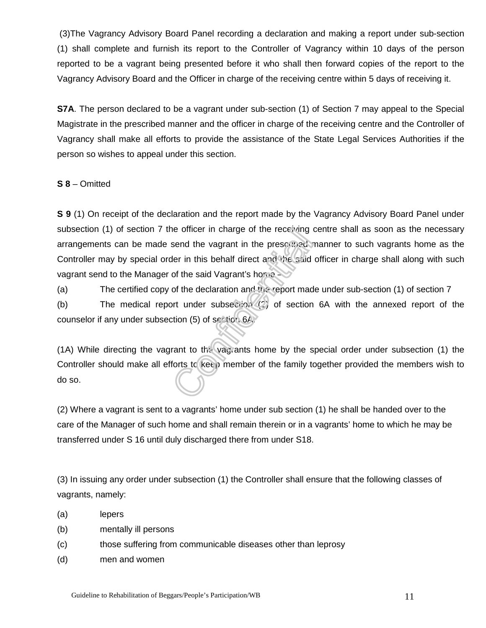(3)The Vagrancy Advisory Board Panel recording a declaration and making a report under sub-section (1) shall complete and furnish its report to the Controller of Vagrancy within 10 days of the person reported to be a vagrant being presented before it who shall then forward copies of the report to the Vagrancy Advisory Board and the Officer in charge of the receiving centre within 5 days of receiving it.

**S7A**. The person declared to be a vagrant under sub-section (1) of Section 7 may appeal to the Special Magistrate in the prescribed manner and the officer in charge of the receiving centre and the Controller of Vagrancy shall make all efforts to provide the assistance of the State Legal Services Authorities if the person so wishes to appeal under this section.

#### **S 8** – Omitted

**S 9** (1) On receipt of the declaration and the report made by the Vagrancy Advisory Board Panel under subsection (1) of section 7 the officer in charge of the receiving centre shall as soon as the necessary arrangements can be made send the vagrant in the prescribed manner to such vagrants home as the Controller may by special order in this behalf direct and the said officer in charge shall along with such vagrant send to the Manager of the said Vagrant's home –

(a) The certified copy of the declaration and the report made under sub-section (1) of section 7

(b) The medical report under subsection (2) of section 6A with the annexed report of the counselor if any under subsection (5) of section 6A.

(1A) While directing the vagrant to the vagrants home by the special order under subsection (1) the Controller should make all efforts to keep member of the family together provided the members wish to do so.

(2) Where a vagrant is sent to a vagrants' home under sub section (1) he shall be handed over to the care of the Manager of such home and shall remain therein or in a vagrants' home to which he may be transferred under S 16 until duly discharged there from under S18.

(3) In issuing any order under subsection (1) the Controller shall ensure that the following classes of vagrants, namely:

- (a) lepers
- (b) mentally ill persons
- (c) those suffering from communicable diseases other than leprosy
- (d) men and women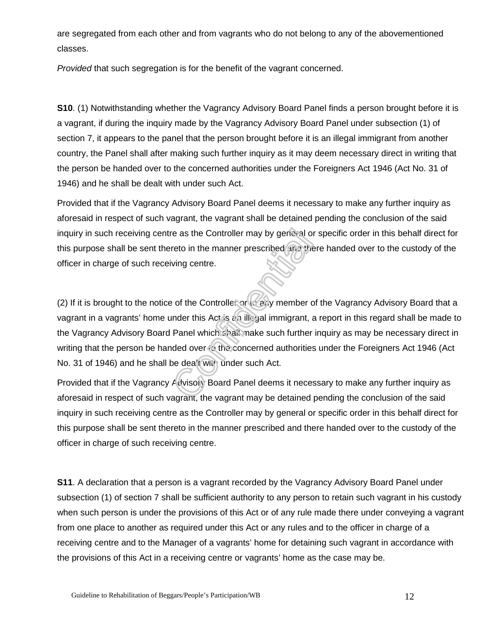are segregated from each other and from vagrants who do not belong to any of the abovementioned classes.

Provided that such segregation is for the benefit of the vagrant concerned.

**S10**. (1) Notwithstanding whether the Vagrancy Advisory Board Panel finds a person brought before it is a vagrant, if during the inquiry made by the Vagrancy Advisory Board Panel under subsection (1) of section 7, it appears to the panel that the person brought before it is an illegal immigrant from another country, the Panel shall after making such further inquiry as it may deem necessary direct in writing that the person be handed over to the concerned authorities under the Foreigners Act 1946 (Act No. 31 of 1946) and he shall be dealt with under such Act.

Provided that if the Vagrancy Advisory Board Panel deems it necessary to make any further inquiry as aforesaid in respect of such vagrant, the vagrant shall be detained pending the conclusion of the said inquiry in such receiving centre as the Controller may by general or specific order in this behalf direct for this purpose shall be sent thereto in the manner prescribed and there handed over to the custody of the officer in charge of such receiving centre.

(2) If it is brought to the notice of the Controller or to any member of the Vagrancy Advisory Board that a vagrant in a vagrants' home under this Act is an illegal immigrant, a report in this regard shall be made to the Vagrancy Advisory Board Panel which shall make such further inquiry as may be necessary direct in writing that the person be handed over to the concerned authorities under the Foreigners Act 1946 (Act No. 31 of 1946) and he shall be dea't with under such Act.

Provided that if the Vagrancy Advisory Board Panel deems it necessary to make any further inquiry as aforesaid in respect of such vagrant, the vagrant may be detained pending the conclusion of the said inquiry in such receiving centre as the Controller may by general or specific order in this behalf direct for this purpose shall be sent thereto in the manner prescribed and there handed over to the custody of the officer in charge of such receiving centre.

**S11**. A declaration that a person is a vagrant recorded by the Vagrancy Advisory Board Panel under subsection (1) of section 7 shall be sufficient authority to any person to retain such vagrant in his custody when such person is under the provisions of this Act or of any rule made there under conveying a vagrant from one place to another as required under this Act or any rules and to the officer in charge of a receiving centre and to the Manager of a vagrants' home for detaining such vagrant in accordance with the provisions of this Act in a receiving centre or vagrants' home as the case may be.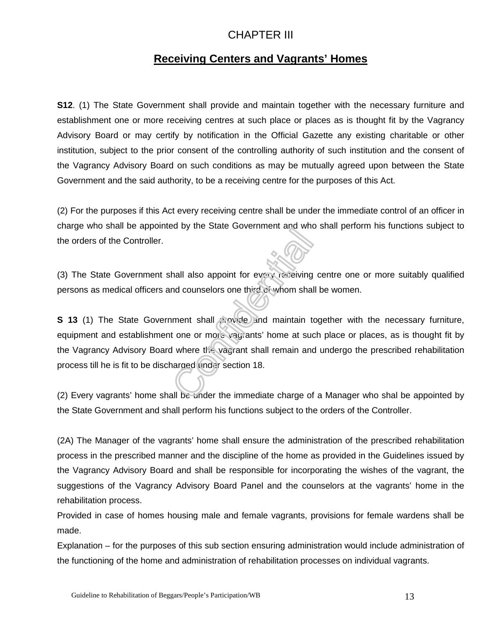### CHAPTER III

### **Receiving Centers and Vagrants' Homes**

**S12.** (1) The State Government shall provide and maintain together with the necessary furniture and establishment one or more receiving centres at such place or places as is thought fit by the Vagrancy Advisory Board or may certify by notification in the Official Gazette any existing charitable or other institution, subject to the prior consent of the controlling authority of such institution and the consent of the Vagrancy Advisory Board on such conditions as may be mutually agreed upon between the State Government and the said authority, to be a receiving centre for the purposes of this Act.

(2) For the purposes if this Act every receiving centre shall be under the immediate control of an officer in charge who shall be appointed by the State Government and who shall perform his functions subject to the orders of the Controller.

(3) The State Government shall also appoint for every receiving centre one or more suitably qualified persons as medical officers and counselors one third of whom shall be women.

**S 13** (1) The State Government shall provide and maintain together with the necessary furniture, equipment and establishment one or more vagrants' home at such place or places, as is thought fit by the Vagrancy Advisory Board where the vagrant shall remain and undergo the prescribed rehabilitation process till he is fit to be discharged under section 18.

(2) Every vagrants' home shall be under the immediate charge of a Manager who shal be appointed by the State Government and shall perform his functions subject to the orders of the Controller.

(2A) The Manager of the vagrants' home shall ensure the administration of the prescribed rehabilitation process in the prescribed manner and the discipline of the home as provided in the Guidelines issued by the Vagrancy Advisory Board and shall be responsible for incorporating the wishes of the vagrant, the suggestions of the Vagrancy Advisory Board Panel and the counselors at the vagrants' home in the rehabilitation process.

Provided in case of homes housing male and female vagrants, provisions for female wardens shall be made.

Explanation – for the purposes of this sub section ensuring administration would include administration of the functioning of the home and administration of rehabilitation processes on individual vagrants.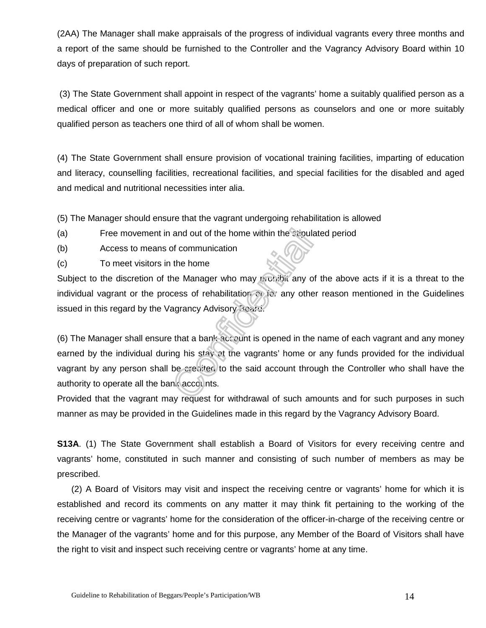(2AA) The Manager shall make appraisals of the progress of individual vagrants every three months and a report of the same should be furnished to the Controller and the Vagrancy Advisory Board within 10 days of preparation of such report.

 (3) The State Government shall appoint in respect of the vagrants' home a suitably qualified person as a medical officer and one or more suitably qualified persons as counselors and one or more suitably qualified person as teachers one third of all of whom shall be women.

(4) The State Government shall ensure provision of vocational training facilities, imparting of education and literacy, counselling facilities, recreational facilities, and special facilities for the disabled and aged and medical and nutritional necessities inter alia.

(5) The Manager should ensure that the vagrant undergoing rehabilitation is allowed

- (a) Free movement in and out of the home within the stipulated period
- (b) Access to means of communication
- (c) To meet visitors in the home

Subject to the discretion of the Manager who may prohibit any of the above acts if it is a threat to the individual vagrant or the process of rehabilitation on for any other reason mentioned in the Guidelines issued in this regard by the Vagrancy Advisory Board.

(6) The Manager shall ensure that a bank account is opened in the name of each vagrant and any money earned by the individual during his stay at the vagrants' home or any funds provided for the individual vagrant by any person shall be credited to the said account through the Controller who shall have the authority to operate all the bank accounts.

Provided that the vagrant may request for withdrawal of such amounts and for such purposes in such manner as may be provided in the Guidelines made in this regard by the Vagrancy Advisory Board.

**S13A.** (1) The State Government shall establish a Board of Visitors for every receiving centre and vagrants' home, constituted in such manner and consisting of such number of members as may be prescribed.

 (2) A Board of Visitors may visit and inspect the receiving centre or vagrants' home for which it is established and record its comments on any matter it may think fit pertaining to the working of the receiving centre or vagrants' home for the consideration of the officer-in-charge of the receiving centre or the Manager of the vagrants' home and for this purpose, any Member of the Board of Visitors shall have the right to visit and inspect such receiving centre or vagrants' home at any time.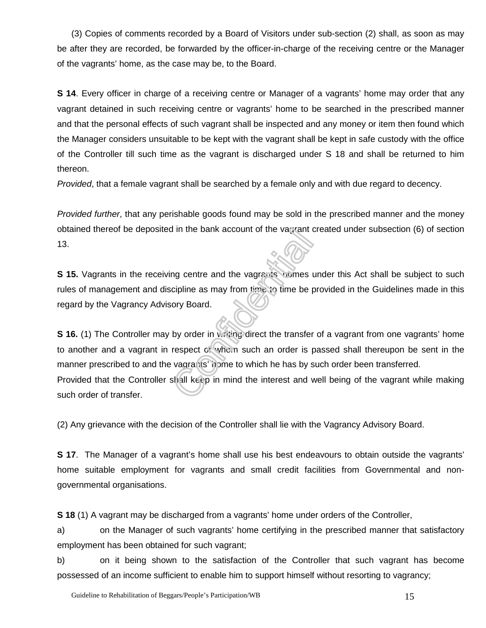(3) Copies of comments recorded by a Board of Visitors under sub-section (2) shall, as soon as may be after they are recorded, be forwarded by the officer-in-charge of the receiving centre or the Manager of the vagrants' home, as the case may be, to the Board.

**S 14.** Every officer in charge of a receiving centre or Manager of a vagrants' home may order that any vagrant detained in such receiving centre or vagrants' home to be searched in the prescribed manner and that the personal effects of such vagrant shall be inspected and any money or item then found which the Manager considers unsuitable to be kept with the vagrant shall be kept in safe custody with the office of the Controller till such time as the vagrant is discharged under S 18 and shall be returned to him thereon.

Provided, that a female vagrant shall be searched by a female only and with due regard to decency.

Provided further, that any perishable goods found may be sold in the prescribed manner and the money obtained thereof be deposited in the bank account of the vagrant created under subsection (6) of section 13.

**S 15.** Vagrants in the receiving centre and the vagrants' homes under this Act shall be subject to such rules of management and discipline as may from time to time be provided in the Guidelines made in this regard by the Vagrancy Advisory Board.

**S 16.** (1) The Controller may by order in writing direct the transfer of a vagrant from one vagrants' home to another and a vagrant in respect of whom such an order is passed shall thereupon be sent in the manner prescribed to and the vagrants' nome to which he has by such order been transferred. Provided that the Controller shall keep in mind the interest and well being of the vagrant while making such order of transfer.

(2) Any grievance with the decision of the Controller shall lie with the Vagrancy Advisory Board.

**S 17.** The Manager of a vagrant's home shall use his best endeavours to obtain outside the vagrants' home suitable employment for vagrants and small credit facilities from Governmental and nongovernmental organisations.

**S 18** (1) A vagrant may be discharged from a vagrants' home under orders of the Controller,

a) on the Manager of such vagrants' home certifying in the prescribed manner that satisfactory employment has been obtained for such vagrant;

b) on it being shown to the satisfaction of the Controller that such vagrant has become possessed of an income sufficient to enable him to support himself without resorting to vagrancy;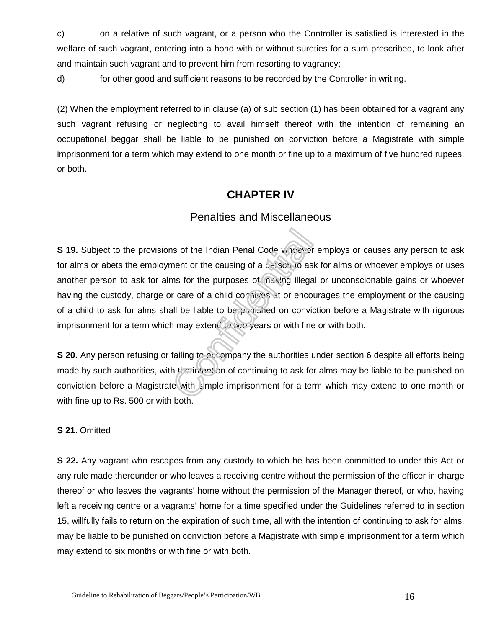c) on a relative of such vagrant, or a person who the Controller is satisfied is interested in the welfare of such vagrant, entering into a bond with or without sureties for a sum prescribed, to look after and maintain such vagrant and to prevent him from resorting to vagrancy;

d) for other good and sufficient reasons to be recorded by the Controller in writing.

(2) When the employment referred to in clause (a) of sub section (1) has been obtained for a vagrant any such vagrant refusing or neglecting to avail himself thereof with the intention of remaining an occupational beggar shall be liable to be punished on conviction before a Magistrate with simple imprisonment for a term which may extend to one month or fine up to a maximum of five hundred rupees, or both.

### **CHAPTER IV**

### Penalties and Miscellaneous

**S 19.** Subject to the provisions of the Indian Penal Code wheever employs or causes any person to ask for alms or abets the employment or the causing of a  $p_{\text{H}}$  son to ask for alms or whoever employs or uses another person to ask for alms for the purposes of making illegal or unconscionable gains or whoever having the custody, charge or care of a child connives at or encourages the employment or the causing of a child to ask for alms shall be liable to be punished on conviction before a Magistrate with rigorous imprisonment for a term which may extend to two years or with fine or with both.

**S 20.** Any person refusing or failing to accompany the authorities under section 6 despite all efforts being made by such authorities, with the intention of continuing to ask for alms may be liable to be punished on conviction before a Magistrate with simple imprisonment for a term which may extend to one month or with fine up to Rs. 500 or with both.

#### **S 21**. Omitted

**S 22.** Any vagrant who escapes from any custody to which he has been committed to under this Act or any rule made thereunder or who leaves a receiving centre without the permission of the officer in charge thereof or who leaves the vagrants' home without the permission of the Manager thereof, or who, having left a receiving centre or a vagrants' home for a time specified under the Guidelines referred to in section 15, willfully fails to return on the expiration of such time, all with the intention of continuing to ask for alms, may be liable to be punished on conviction before a Magistrate with simple imprisonment for a term which may extend to six months or with fine or with both.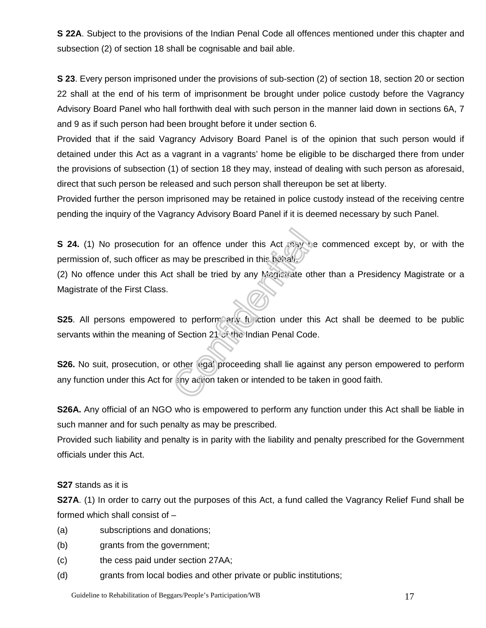**S 22A**. Subject to the provisions of the Indian Penal Code all offences mentioned under this chapter and subsection (2) of section 18 shall be cognisable and bail able.

**S 23**. Every person imprisoned under the provisions of sub-section (2) of section 18, section 20 or section 22 shall at the end of his term of imprisonment be brought under police custody before the Vagrancy Advisory Board Panel who hall forthwith deal with such person in the manner laid down in sections 6A, 7 and 9 as if such person had been brought before it under section 6.

Provided that if the said Vagrancy Advisory Board Panel is of the opinion that such person would if detained under this Act as a vagrant in a vagrants' home be eligible to be discharged there from under the provisions of subsection (1) of section 18 they may, instead of dealing with such person as aforesaid, direct that such person be released and such person shall thereupon be set at liberty.

Provided further the person imprisoned may be retained in police custody instead of the receiving centre pending the inquiry of the Vagrancy Advisory Board Panel if it is deemed necessary by such Panel.

**S 24.** (1) No prosecution for an offence under this Act  $nxy$  be commenced except by, or with the permission of, such officer as may be prescribed in this behalf.

(2) No offence under this Act shall be tried by any Magistrate other than a Presidency Magistrate or a Magistrate of the First Class.

**S25.** All persons empowered to perform any function under this Act shall be deemed to be public servants within the meaning of Section 21 of the Indian Penal Code.

**S26.** No suit, prosecution, or other legal proceeding shall lie against any person empowered to perform any function under this Act for any action taken or intended to be taken in good faith.

**S26A.** Any official of an NGO who is empowered to perform any function under this Act shall be liable in such manner and for such penalty as may be prescribed.

Provided such liability and penalty is in parity with the liability and penalty prescribed for the Government officials under this Act.

#### **S27** stands as it is

**S27A.** (1) In order to carry out the purposes of this Act, a fund called the Vagrancy Relief Fund shall be formed which shall consist of –

- (a) subscriptions and donations;
- (b) grants from the government;
- (c) the cess paid under section 27AA;
- (d) grants from local bodies and other private or public institutions;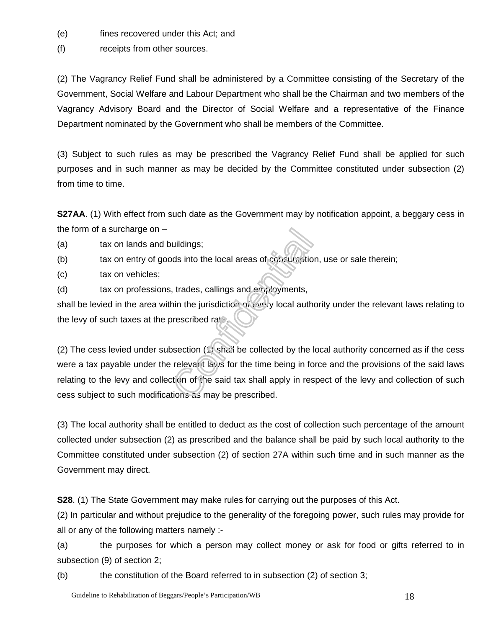- (e) fines recovered under this Act; and
- (f) receipts from other sources.

(2) The Vagrancy Relief Fund shall be administered by a Committee consisting of the Secretary of the Government, Social Welfare and Labour Department who shall be the Chairman and two members of the Vagrancy Advisory Board and the Director of Social Welfare and a representative of the Finance Department nominated by the Government who shall be members of the Committee.

(3) Subject to such rules as may be prescribed the Vagrancy Relief Fund shall be applied for such purposes and in such manner as may be decided by the Committee constituted under subsection (2) from time to time.

**S27AA**. (1) With effect from such date as the Government may by notification appoint, a beggary cess in the form of a surcharge on –

- (a) tax on lands and buildings;
- (b) tax on entry of goods into the local areas of consumption, use or sale therein;
- (c) tax on vehicles;
- (d) tax on professions, trades, callings and employments,

shall be levied in the area within the jurisdiction of every local authority under the relevant laws relating to the levy of such taxes at the prescribed rate.

(2) The cess levied under subsection (1) shall be collected by the local authority concerned as if the cess were a tax payable under the relevant laws for the time being in force and the provisions of the said laws relating to the levy and collection of the said tax shall apply in respect of the levy and collection of such cess subject to such modifications as may be prescribed.

(3) The local authority shall be entitled to deduct as the cost of collection such percentage of the amount collected under subsection (2) as prescribed and the balance shall be paid by such local authority to the Committee constituted under subsection (2) of section 27A within such time and in such manner as the Government may direct.

**S28**. (1) The State Government may make rules for carrying out the purposes of this Act.

(2) In particular and without prejudice to the generality of the foregoing power, such rules may provide for all or any of the following matters namely :-

(a) the purposes for which a person may collect money or ask for food or gifts referred to in subsection (9) of section 2;

(b) the constitution of the Board referred to in subsection (2) of section 3;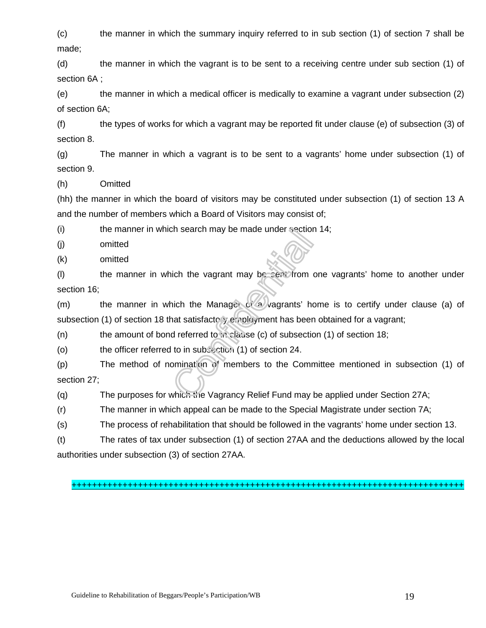(c) the manner in which the summary inquiry referred to in sub section (1) of section 7 shall be made;

(d) the manner in which the vagrant is to be sent to a receiving centre under sub section (1) of section 6A ;

(e) the manner in which a medical officer is medically to examine a vagrant under subsection (2) of section 6A;

(f) the types of works for which a vagrant may be reported fit under clause (e) of subsection (3) of section 8.

(g) The manner in which a vagrant is to be sent to a vagrants' home under subsection (1) of section 9.

(h) Omitted

(hh) the manner in which the board of visitors may be constituted under subsection (1) of section 13 A and the number of members which a Board of Visitors may consist of;

(i) the manner in which search may be made under section 14;

(j) omitted

(k) omitted

(I) the manner in which the vagrant may be sent from one vagrants' home to another under section 16;

(m) the manner in which the Manager of a vagrants' home is to certify under clause (a) of subsection (1) of section 18 that satisfactory employment has been obtained for a vagrant;

(n) the amount of bond referred to in clause (c) of subsection (1) of section 18;

(o) the officer referred to in subsection (1) of section 24.

(p) The method of nomination of members to the Committee mentioned in subsection (1) of section 27;

(q) The purposes for which the Vagrancy Relief Fund may be applied under Section 27A;

(r) The manner in which appeal can be made to the Special Magistrate under section 7A;

(s) The process of rehabilitation that should be followed in the vagrants' home under section 13.

(t) The rates of tax under subsection (1) of section 27AA and the deductions allowed by the local authorities under subsection (3) of section 27AA.

#### +++++++++++++++++++++++++++++++++++++++++++++++++++++++++++++++++++++++++++++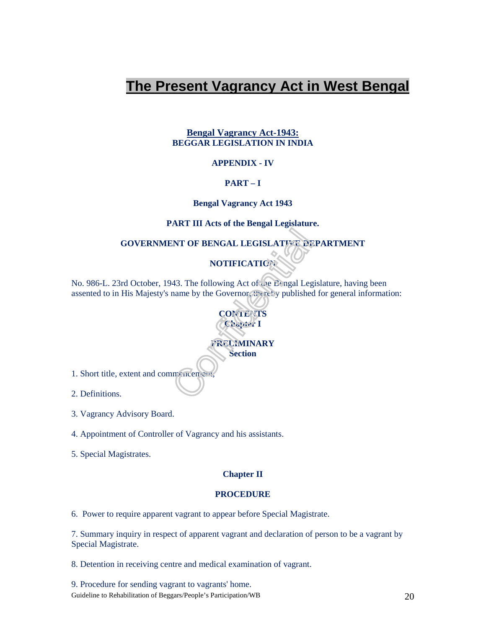# **The Present Vagrancy Act in West Bengal**

#### **Bengal Vagrancy Act-1943: BEGGAR LEGISLATION IN INDIA**

#### **APPENDIX - IV**

#### **PART – I**

#### **Bengal Vagrancy Act 1943**

#### **PART III Acts of the Bengal Legislature.**

**GOVERNMENT OF BENGAL LEGISLATIVE DEPARTMENT** 

### **NOTIFICATION**

No. 986-L. 23rd October, 1943. The following Act of the Bengal Legislature, having been assented to in His Majesty's name by the Governor, thereby published for general information:





1. Short title, extent and commencement

2. Definitions.

3. Vagrancy Advisory Board.

4. Appointment of Controller of Vagrancy and his assistants.

5. Special Magistrates.

#### **Chapter II**

#### **PROCEDURE**

6. Power to require apparent vagrant to appear before Special Magistrate.

7. Summary inquiry in respect of apparent vagrant and declaration of person to be a vagrant by Special Magistrate.

8. Detention in receiving centre and medical examination of vagrant.

Guideline to Rehabilitation of Beggars/People's Participation/WB 20 9. Procedure for sending vagrant to vagrants' home.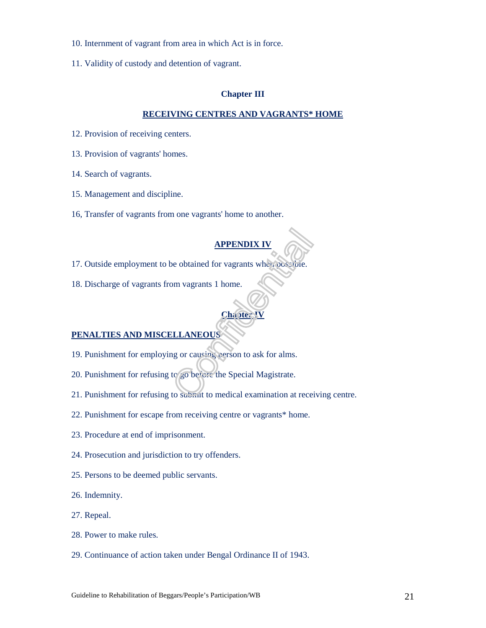- 10. Internment of vagrant from area in which Act is in force.
- 11. Validity of custody and detention of vagrant.

#### **Chapter III**

#### **RECEIVING CENTRES AND VAGRANTS\* HOME**

- 12. Provision of receiving centers.
- 13. Provision of vagrants' homes.
- 14. Search of vagrants.
- 15. Management and discipline.
- 16, Transfer of vagrants from one vagrants' home to another.

#### **APPENDIX IV**

- 17. Outside employment to be obtained for vagrants when possible.
- 18. Discharge of vagrants from vagrants 1 home.

#### **Chapter IV**

#### **PENALTIES AND MISCELLANEOUS**

- 19. Punishment for employing or causing person to ask for alms.
- 20. Punishment for refusing to go before the Special Magistrate.
- 21. Punishment for refusing to submit to medical examination at receiving centre.
- 22. Punishment for escape from receiving centre or vagrants\* home.
- 23. Procedure at end of imprisonment.
- 24. Prosecution and jurisdiction to try offenders.
- 25. Persons to be deemed public servants.
- 26. Indemnity.
- 27. Repeal.
- 28. Power to make rules.
- 29. Continuance of action taken under Bengal Ordinance II of 1943.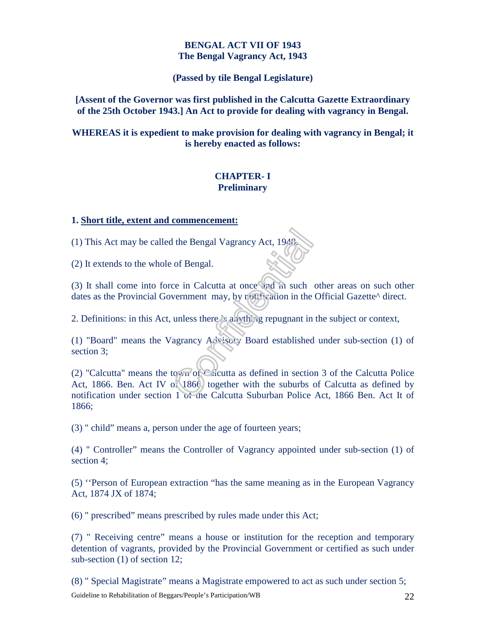#### **BENGAL ACT VII OF 1943 The Bengal Vagrancy Act, 1943**

**(Passed by tile Bengal Legislature)** 

**[Assent of the Governor was first published in the Calcutta Gazette Extraordinary of the 25th October 1943.] An Act to provide for dealing with vagrancy in Bengal.** 

**WHEREAS it is expedient to make provision for dealing with vagrancy in Bengal; it is hereby enacted as follows:** 

#### **CHAPTER- I Preliminary**

#### **1. Short title, extent and commencement:**

(1) This Act may be called the Bengal Vagrancy Act, 1948.

(2) It extends to the whole of Bengal.

(3) It shall come into force in Calcutta at once and in such other areas on such other dates as the Provincial Government may, by rotheration in the Official Gazette<sup> $\land$ </sup> direct.

2. Definitions: in this Act, unless there is anything repugnant in the subject or context,

(1) "Board" means the Vagrancy  $A \stackrel{\wedge}{\sim}$  isory Board established under sub-section (1) of section 3;

(2) "Calcutta" means the town of Calcutta as defined in section 3 of the Calcutta Police Act, 1866. Ben. Act IV of 1866, together with the suburbs of Calcutta as defined by notification under section 1 of the Calcutta Suburban Police Act, 1866 Ben. Act It of 1866;

(3) " child" means a, person under the age of fourteen years;

(4) " Controller" means the Controller of Vagrancy appointed under sub-section (1) of section 4;

(5) ''Person of European extraction "has the same meaning as in the European Vagrancy Act, 1874 JX of 1874;

(6) " prescribed" means prescribed by rules made under this Act;

(7) " Receiving centre" means a house or institution for the reception and temporary detention of vagrants, provided by the Provincial Government or certified as such under sub-section (1) of section 12;

Guideline to Rehabilitation of Beggars/People's Participation/WB 22 (8) " Special Magistrate" means a Magistrate empowered to act as such under section 5;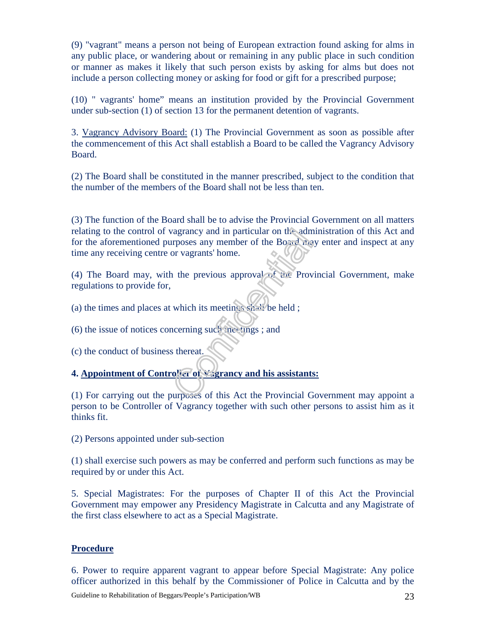(9) "vagrant" means a person not being of European extraction found asking for alms in any public place, or wandering about or remaining in any public place in such condition or manner as makes it likely that such person exists by asking for alms but does not include a person collecting money or asking for food or gift for a prescribed purpose;

(10) " vagrants' home" means an institution provided by the Provincial Government under sub-section (1) of section 13 for the permanent detention of vagrants.

3. Vagrancy Advisory Board: (1) The Provincial Government as soon as possible after the commencement of this Act shall establish a Board to be called the Vagrancy Advisory Board.

(2) The Board shall be constituted in the manner prescribed, subject to the condition that the number of the members of the Board shall not be less than ten.

(3) The function of the Board shall be to advise the Provincial Government on all matters relating to the control of vagrancy and in particular on the administration of this Act and for the aforementioned purposes any member of the Board may enter and inspect at any time any receiving centre or vagrants' home.

(4) The Board may, with the previous approval of the Provincial Government, make regulations to provide for,

(a) the times and places at which its meetings shall be held ;

(6) the issue of notices concerning such meetings; and

(c) the conduct of business thereat.

#### **4. Appointment of Controller of Vagrancy and his assistants:**

(1) For carrying out the purposes of this Act the Provincial Government may appoint a person to be Controller of Vagrancy together with such other persons to assist him as it thinks fit.

(2) Persons appointed under sub-section

(1) shall exercise such powers as may be conferred and perform such functions as may be required by or under this Act.

5. Special Magistrates: For the purposes of Chapter II of this Act the Provincial Government may empower any Presidency Magistrate in Calcutta and any Magistrate of the first class elsewhere to act as a Special Magistrate.

#### **Procedure**

6. Power to require apparent vagrant to appear before Special Magistrate: Any police officer authorized in this behalf by the Commissioner of Police in Calcutta and by the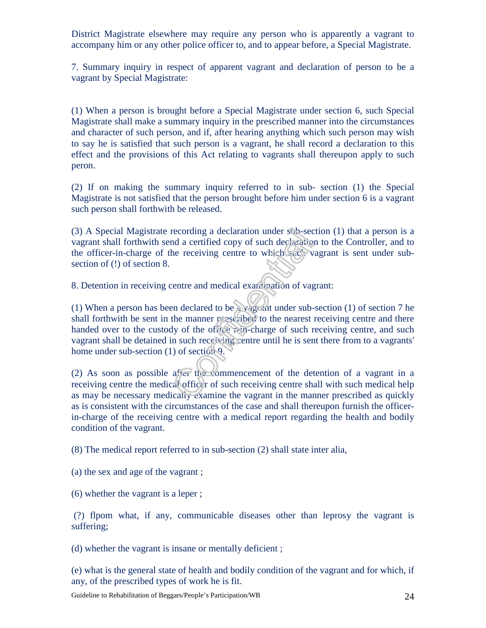District Magistrate elsewhere may require any person who is apparently a vagrant to accompany him or any other police officer to, and to appear before, a Special Magistrate.

7. Summary inquiry in respect of apparent vagrant and declaration of person to be a vagrant by Special Magistrate:

(1) When a person is brought before a Special Magistrate under section 6, such Special Magistrate shall make a summary inquiry in the prescribed manner into the circumstances and character of such person, and if, after hearing anything which such person may wish to say he is satisfied that such person is a vagrant, he shall record a declaration to this effect and the provisions of this Act relating to vagrants shall thereupon apply to such peron.

(2) If on making the summary inquiry referred to in sub- section (1) the Special Magistrate is not satisfied that the person brought before him under section 6 is a vagrant such person shall forthwith be released.

(3) A Special Magistrate recording a declaration under sub-section (1) that a person is a vagrant shall forthwith send a certified copy of such declaration to the Controller, and to the officer-in-charge of the receiving centre to which such vagrant is sent under subsection of (!) of section 8.

8. Detention in receiving centre and medical examination of vagrant:

(1) When a person has been declared to be a vagrant under sub-section (1) of section 7 he shall forthwith be sent in the manner  $\vec{r}$  escribed to the nearest receiving centre and there handed over to the custody of the office r-in-charge of such receiving centre, and such vagrant shall be detained in such receiving centre until he is sent there from to a vagrants' home under sub-section (1) of section 9.

(2) As soon as possible after the commencement of the detention of a vagrant in a receiving centre the medical officer of such receiving centre shall with such medical help as may be necessary medically examine the vagrant in the manner prescribed as quickly as is consistent with the circumstances of the case and shall thereupon furnish the officerin-charge of the receiving centre with a medical report regarding the health and bodily condition of the vagrant.

(8) The medical report referred to in sub-section (2) shall state inter alia,

(a) the sex and age of the vagrant ;

(6) whether the vagrant is a leper ;

 (?) flpom what, if any, communicable diseases other than leprosy the vagrant is suffering;

(d) whether the vagrant is insane or mentally deficient ;

(e) what is the general state of health and bodily condition of the vagrant and for which, if any, of the prescribed types of work he is fit.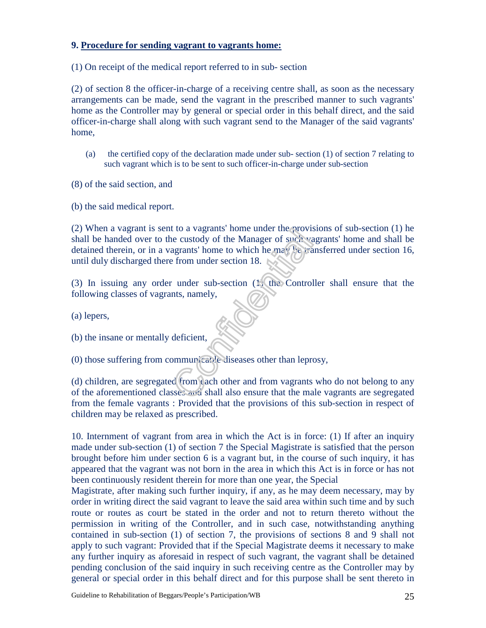#### **9. Procedure for sending vagrant to vagrants home:**

(1) On receipt of the medical report referred to in sub- section

(2) of section 8 the officer-in-charge of a receiving centre shall, as soon as the necessary arrangements can be made, send the vagrant in the prescribed manner to such vagrants' home as the Controller may by general or special order in this behalf direct, and the said officer-in-charge shall along with such vagrant send to the Manager of the said vagrants' home,

(a) the certified copy of the declaration made under sub- section (1) of section 7 relating to such vagrant which is to be sent to such officer-in-charge under sub-section

(8) of the said section, and

(b) the said medical report.

(2) When a vagrant is sent to a vagrants' home under the provisions of sub-section (1) he shall be handed over to the custody of the Manager of such vagrants' home and shall be detained therein, or in a vagrants' home to which he may be transferred under section 16, until duly discharged there from under section 18.

(3) In issuing any order under sub-section (1) the Controller shall ensure that the following classes of vagrants, namely,

(a) lepers,

(b) the insane or mentally deficient,

(0) those suffering from communicable diseases other than leprosy,

(d) children, are segregated from each other and from vagrants who do not belong to any of the aforementioned classes and shall also ensure that the male vagrants are segregated from the female vagrants : Provided that the provisions of this sub-section in respect of children may be relaxed as prescribed.

10. Internment of vagrant from area in which the Act is in force: (1) If after an inquiry made under sub-section (1) of section 7 the Special Magistrate is satisfied that the person brought before him under section 6 is a vagrant but, in the course of such inquiry, it has appeared that the vagrant was not born in the area in which this Act is in force or has not been continuously resident therein for more than one year, the Special

Magistrate, after making such further inquiry, if any, as he may deem necessary, may by order in writing direct the said vagrant to leave the said area within such time and by such route or routes as court be stated in the order and not to return thereto without the permission in writing of the Controller, and in such case, notwithstanding anything contained in sub-section (1) of section 7, the provisions of sections 8 and 9 shall not apply to such vagrant: Provided that if the Special Magistrate deems it necessary to make any further inquiry as aforesaid in respect of such vagrant, the vagrant shall be detained pending conclusion of the said inquiry in such receiving centre as the Controller may by general or special order in this behalf direct and for this purpose shall be sent thereto in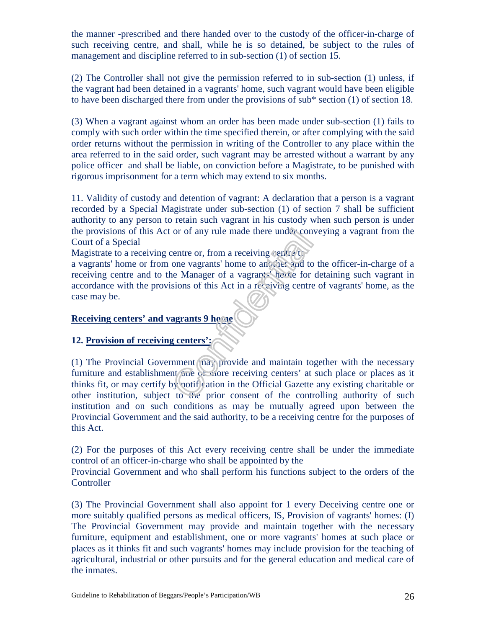the manner -prescribed and there handed over to the custody of the officer-in-charge of such receiving centre, and shall, while he is so detained, be subject to the rules of management and discipline referred to in sub-section (1) of section 15.

(2) The Controller shall not give the permission referred to in sub-section (1) unless, if the vagrant had been detained in a vagrants' home, such vagrant would have been eligible to have been discharged there from under the provisions of sub\* section (1) of section 18.

(3) When a vagrant against whom an order has been made under sub-section (1) fails to comply with such order within the time specified therein, or after complying with the said order returns without the permission in writing of the Controller to any place within the area referred to in the said order, such vagrant may be arrested without a warrant by any police officer and shall be liable, on conviction before a Magistrate, to be punished with rigorous imprisonment for a term which may extend to six months.

11. Validity of custody and detention of vagrant: A declaration that a person is a vagrant recorded by a Special Magistrate under sub-section (1) of section 7 shall be sufficient authority to any person to retain such vagrant in his custody when such person is under the provisions of this Act or of any rule made there under conveying a vagrant from the Court of a Special

Magistrate to a receiving centre or, from a receiving centre to

a vagrants' home or from one vagrants' home to another and to the officer-in-charge of a receiving centre and to the Manager of a vagrants' home for detaining such vagrant in accordance with the provisions of this Act in a receiving centre of vagrants' home, as the case may be.

#### **Receiving centers' and vagrants 9 home**

#### **12. Provision of receiving centers':**

(1) The Provincial Government  $\langle na \rangle$  provide and maintain together with the necessary furniture and establishment one or more receiving centers' at such place or places as it thinks fit, or may certify by notification in the Official Gazette any existing charitable or other institution, subject to the prior consent of the controlling authority of such institution and on such conditions as may be mutually agreed upon between the Provincial Government and the said authority, to be a receiving centre for the purposes of this Act.

(2) For the purposes of this Act every receiving centre shall be under the immediate control of an officer-in-charge who shall be appointed by the

Provincial Government and who shall perform his functions subject to the orders of the **Controller** 

(3) The Provincial Government shall also appoint for 1 every Deceiving centre one or more suitably qualified persons as medical officers, IS, Provision of vagrants' homes: (I) The Provincial Government may provide and maintain together with the necessary furniture, equipment and establishment, one or more vagrants' homes at such place or places as it thinks fit and such vagrants' homes may include provision for the teaching of agricultural, industrial or other pursuits and for the general education and medical care of the inmates.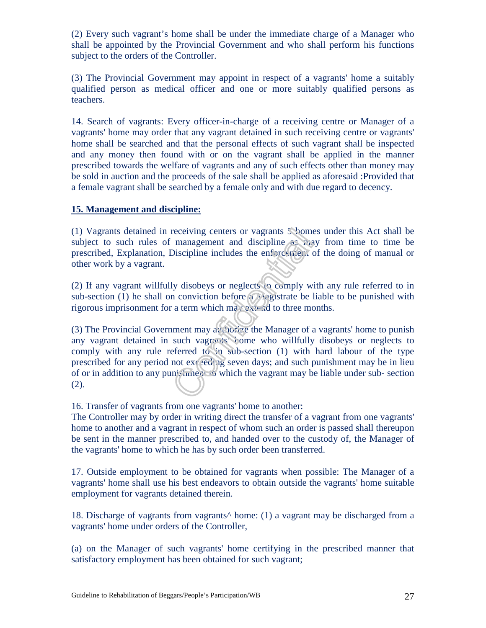(2) Every such vagrant's home shall be under the immediate charge of a Manager who shall be appointed by the Provincial Government and who shall perform his functions subject to the orders of the Controller.

(3) The Provincial Government may appoint in respect of a vagrants' home a suitably qualified person as medical officer and one or more suitably qualified persons as teachers.

14. Search of vagrants: Every officer-in-charge of a receiving centre or Manager of a vagrants' home may order that any vagrant detained in such receiving centre or vagrants' home shall be searched and that the personal effects of such vagrant shall be inspected and any money then found with or on the vagrant shall be applied in the manner prescribed towards the welfare of vagrants and any of such effects other than money may be sold in auction and the proceeds of the sale shall be applied as aforesaid :Provided that a female vagrant shall be searched by a female only and with due regard to decency.

#### **15. Management and discipline:**

(1) Vagrants detained in receiving centers or vagrants 5 homes under this Act shall be subject to such rules of management and discipline as may from time to time be prescribed, Explanation, Discipline includes the enforcement of the doing of manual or other work by a vagrant.

(2) If any vagrant willfully disobeys or neglects to comply with any rule referred to in sub-section (1) he shall on conviction before  $\alpha$  Magistrate be liable to be punished with rigorous imprisonment for a term which may extend to three months.

(3) The Provincial Government may authorize the Manager of a vagrants' home to punish any vagrant detained in such vagrants' home who willfully disobeys or neglects to comply with any rule referred to in sub-section (1) with hard labour of the type prescribed for any period not  $ex$  exceeding seven days; and such punishment may be in lieu of or in addition to any punishment to which the vagrant may be liable under sub- section (2).

16. Transfer of vagrants from one vagrants' home to another:

The Controller may by order in writing direct the transfer of a vagrant from one vagrants' home to another and a vagrant in respect of whom such an order is passed shall thereupon be sent in the manner prescribed to, and handed over to the custody of, the Manager of the vagrants' home to which he has by such order been transferred.

17. Outside employment to be obtained for vagrants when possible: The Manager of a vagrants' home shall use his best endeavors to obtain outside the vagrants' home suitable employment for vagrants detained therein.

18. Discharge of vagrants from vagrants^ home: (1) a vagrant may be discharged from a vagrants' home under orders of the Controller,

(a) on the Manager of such vagrants' home certifying in the prescribed manner that satisfactory employment has been obtained for such vagrant;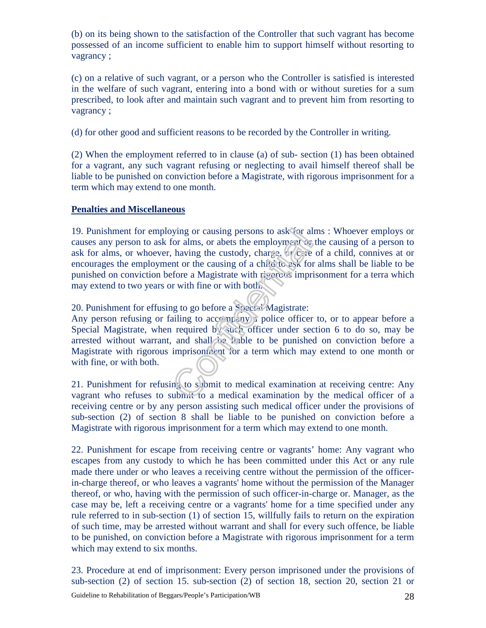(b) on its being shown to the satisfaction of the Controller that such vagrant has become possessed of an income sufficient to enable him to support himself without resorting to vagrancy ;

(c) on a relative of such vagrant, or a person who the Controller is satisfied is interested in the welfare of such vagrant, entering into a bond with or without sureties for a sum prescribed, to look after and maintain such vagrant and to prevent him from resorting to vagrancy ;

(d) for other good and sufficient reasons to be recorded by the Controller in writing.

(2) When the employment referred to in clause (a) of sub- section (1) has been obtained for a vagrant, any such vagrant refusing or neglecting to avail himself thereof shall be liable to be punished on conviction before a Magistrate, with rigorous imprisonment for a term which may extend to one month.

#### **Penalties and Miscellaneous**

19. Punishment for employing or causing persons to ask for alms : Whoever employs or causes any person to ask for alms, or abets the employment or the causing of a person to ask for alms, or whoever, having the custody, charge, or care of a child, connives at or encourages the employment or the causing of a child to ask for alms shall be liable to be punished on conviction before a Magistrate with rigorous imprisonment for a terra which may extend to two years or with fine or with both.

20. Punishment for effusing to go before a Special Magistrate:

Any person refusing or failing to accompany a police officer to, or to appear before a Special Magistrate, when required by such officer under section 6 to do so, may be arrested without warrant, and shall be liable to be punished on conviction before a Magistrate with rigorous imprisonment for a term which may extend to one month or with fine, or with both.

21. Punishment for refusing to submit to medical examination at receiving centre: Any vagrant who refuses to submit to a medical examination by the medical officer of a receiving centre or by any person assisting such medical officer under the provisions of sub-section (2) of section 8 shall be liable to be punished on conviction before a Magistrate with rigorous imprisonment for a term which may extend to one month.

22. Punishment for escape from receiving centre or vagrants' home: Any vagrant who escapes from any custody to which he has been committed under this Act or any rule made there under or who leaves a receiving centre without the permission of the officerin-charge thereof, or who leaves a vagrants' home without the permission of the Manager thereof, or who, having with the permission of such officer-in-charge or. Manager, as the case may be, left a receiving centre or a vagrants' home for a time specified under any rule referred to in sub-section (1) of section 15, willfully fails to return on the expiration of such time, may be arrested without warrant and shall for every such offence, be liable to be punished, on conviction before a Magistrate with rigorous imprisonment for a term which may extend to six months.

23. Procedure at end of imprisonment: Every person imprisoned under the provisions of sub-section (2) of section 15. sub-section (2) of section 18, section 20, section 21 or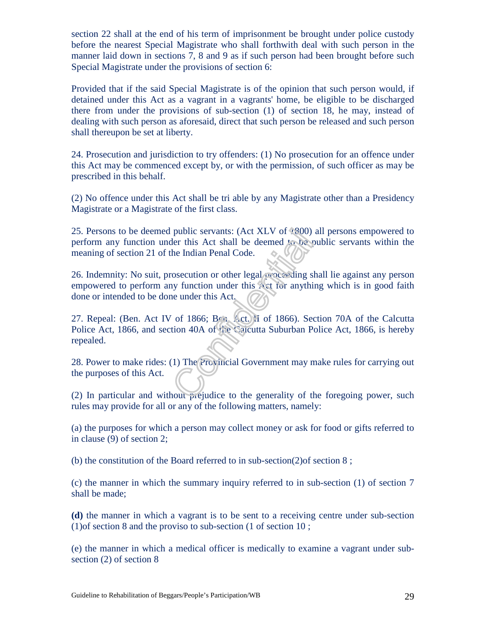section 22 shall at the end of his term of imprisonment be brought under police custody before the nearest Special Magistrate who shall forthwith deal with such person in the manner laid down in sections 7, 8 and 9 as if such person had been brought before such Special Magistrate under the provisions of section 6:

Provided that if the said Special Magistrate is of the opinion that such person would, if detained under this Act as a vagrant in a vagrants' home, be eligible to be discharged there from under the provisions of sub-section (1) of section 18, he may, instead of dealing with such person as aforesaid, direct that such person be released and such person shall thereupon be set at liberty.

24. Prosecution and jurisdiction to try offenders: (1) No prosecution for an offence under this Act may be commenced except by, or with the permission, of such officer as may be prescribed in this behalf.

(2) No offence under this Act shall be tri able by any Magistrate other than a Presidency Magistrate or a Magistrate of the first class.

25. Persons to be deemed public servants: (Act XLV of 1800) all persons empowered to perform any function under this Act shall be deemed to be public servants within the meaning of section 21 of the Indian Penal Code.

26. Indemnity: No suit, prosecution or other legal proceeding shall lie against any person empowered to perform any function under this Act for anything which is in good faith done or intended to be done under this Act.

27. Repeal: (Ben. Act IV of 1866; Ben. Act. II of 1866). Section 70A of the Calcutta Police Act, 1866, and section 40A of the Calcutta Suburban Police Act, 1866, is hereby repealed.

28. Power to make rides: (1) The Provincial Government may make rules for carrying out the purposes of this Act.

(2) In particular and without  $\vec{p}$  equivalent to the generality of the foregoing power, such rules may provide for all or any of the following matters, namely:

(a) the purposes for which a person may collect money or ask for food or gifts referred to in clause (9) of section 2;

(b) the constitution of the Board referred to in sub-section(2)of section 8 ;

(c) the manner in which the summary inquiry referred to in sub-section (1) of section 7 shall be made;

**(d)** the manner in which a vagrant is to be sent to a receiving centre under sub-section (1)of section 8 and the proviso to sub-section (1 of section 10 ;

(e) the manner in which a medical officer is medically to examine a vagrant under subsection (2) of section 8